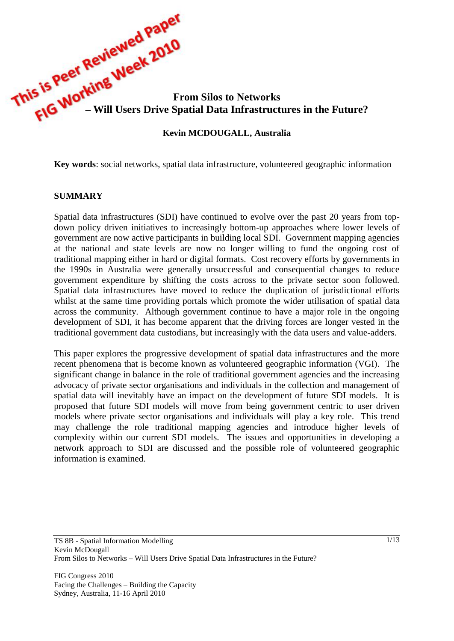

**Key words**: social networks, spatial data infrastructure, volunteered geographic information

#### **SUMMARY**

Spatial data infrastructures (SDI) have continued to evolve over the past 20 years from topdown policy driven initiatives to increasingly bottom-up approaches where lower levels of government are now active participants in building local SDI. Government mapping agencies at the national and state levels are now no longer willing to fund the ongoing cost of traditional mapping either in hard or digital formats. Cost recovery efforts by governments in the 1990s in Australia were generally unsuccessful and consequential changes to reduce government expenditure by shifting the costs across to the private sector soon followed. Spatial data infrastructures have moved to reduce the duplication of jurisdictional efforts whilst at the same time providing portals which promote the wider utilisation of spatial data across the community. Although government continue to have a major role in the ongoing development of SDI, it has become apparent that the driving forces are longer vested in the traditional government data custodians, but increasingly with the data users and value-adders.

This paper explores the progressive development of spatial data infrastructures and the more recent phenomena that is become known as volunteered geographic information (VGI). The significant change in balance in the role of traditional government agencies and the increasing advocacy of private sector organisations and individuals in the collection and management of spatial data will inevitably have an impact on the development of future SDI models. It is proposed that future SDI models will move from being government centric to user driven models where private sector organisations and individuals will play a key role. This trend may challenge the role traditional mapping agencies and introduce higher levels of complexity within our current SDI models. The issues and opportunities in developing a network approach to SDI are discussed and the possible role of volunteered geographic information is examined.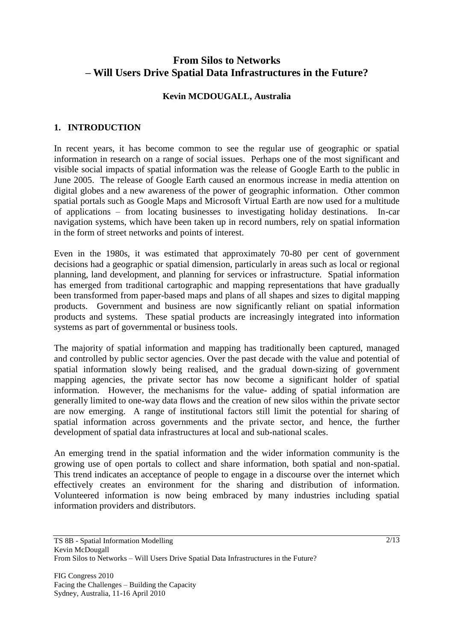# **From Silos to Networks – Will Users Drive Spatial Data Infrastructures in the Future?**

#### **Kevin MCDOUGALL, Australia**

### **1. INTRODUCTION**

In recent years, it has become common to see the regular use of geographic or spatial information in research on a range of social issues. Perhaps one of the most significant and visible social impacts of spatial information was the release of Google Earth to the public in June 2005. The release of Google Earth caused an enormous increase in media attention on digital globes and a new awareness of the power of geographic information. Other common spatial portals such as Google Maps and Microsoft Virtual Earth are now used for a multitude of applications – from locating businesses to investigating holiday destinations. In-car navigation systems, which have been taken up in record numbers, rely on spatial information in the form of street networks and points of interest.

Even in the 1980s, it was estimated that approximately 70-80 per cent of government decisions had a geographic or spatial dimension, particularly in areas such as local or regional planning, land development, and planning for services or infrastructure. Spatial information has emerged from traditional cartographic and mapping representations that have gradually been transformed from paper-based maps and plans of all shapes and sizes to digital mapping products. Government and business are now significantly reliant on spatial information products and systems. These spatial products are increasingly integrated into information systems as part of governmental or business tools.

The majority of spatial information and mapping has traditionally been captured, managed and controlled by public sector agencies. Over the past decade with the value and potential of spatial information slowly being realised, and the gradual down-sizing of government mapping agencies, the private sector has now become a significant holder of spatial information. However, the mechanisms for the value- adding of spatial information are generally limited to one-way data flows and the creation of new silos within the private sector are now emerging. A range of institutional factors still limit the potential for sharing of spatial information across governments and the private sector, and hence, the further development of spatial data infrastructures at local and sub-national scales.

An emerging trend in the spatial information and the wider information community is the growing use of open portals to collect and share information, both spatial and non-spatial. This trend indicates an acceptance of people to engage in a discourse over the internet which effectively creates an environment for the sharing and distribution of information. Volunteered information is now being embraced by many industries including spatial information providers and distributors.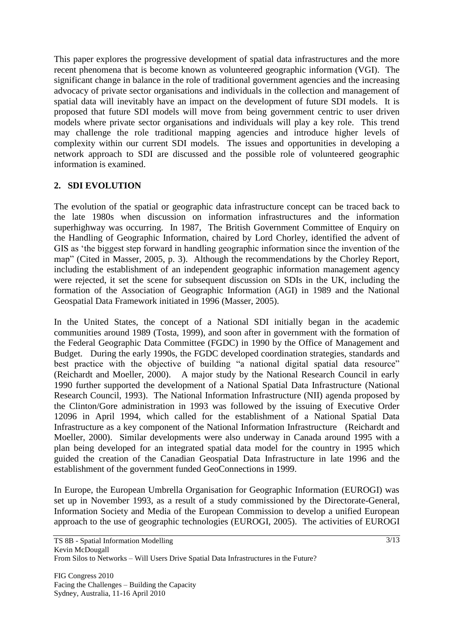This paper explores the progressive development of spatial data infrastructures and the more recent phenomena that is become known as volunteered geographic information (VGI). The significant change in balance in the role of traditional government agencies and the increasing advocacy of private sector organisations and individuals in the collection and management of spatial data will inevitably have an impact on the development of future SDI models. It is proposed that future SDI models will move from being government centric to user driven models where private sector organisations and individuals will play a key role. This trend may challenge the role traditional mapping agencies and introduce higher levels of complexity within our current SDI models. The issues and opportunities in developing a network approach to SDI are discussed and the possible role of volunteered geographic information is examined.

## **2. SDI EVOLUTION**

The evolution of the spatial or geographic data infrastructure concept can be traced back to the late 1980s when discussion on information infrastructures and the information superhighway was occurring. In 1987, The British Government Committee of Enquiry on the Handling of Geographic Information, chaired by Lord Chorley, identified the advent of GIS as "the biggest step forward in handling geographic information since the invention of the map" (Cited in Masser, 2005, p. 3). Although the recommendations by the Chorley Report, including the establishment of an independent geographic information management agency were rejected, it set the scene for subsequent discussion on SDIs in the UK, including the formation of the Association of Geographic Information (AGI) in 1989 and the National Geospatial Data Framework initiated in 1996 (Masser, 2005).

In the United States, the concept of a National SDI initially began in the academic communities around 1989 (Tosta, 1999), and soon after in government with the formation of the Federal Geographic Data Committee (FGDC) in 1990 by the Office of Management and Budget. During the early 1990s, the FGDC developed coordination strategies, standards and best practice with the objective of building "a national digital spatial data resource" (Reichardt and Moeller, 2000). A major study by the National Research Council in early 1990 further supported the development of a National Spatial Data Infrastructure (National Research Council, 1993). The National Information Infrastructure (NII) agenda proposed by the Clinton/Gore administration in 1993 was followed by the issuing of Executive Order 12096 in April 1994, which called for the establishment of a National Spatial Data Infrastructure as a key component of the National Information Infrastructure (Reichardt and Moeller, 2000). Similar developments were also underway in Canada around 1995 with a plan being developed for an integrated spatial data model for the country in 1995 which guided the creation of the Canadian Geospatial Data Infrastructure in late 1996 and the establishment of the government funded GeoConnections in 1999.

In Europe, the European Umbrella Organisation for Geographic Information (EUROGI) was set up in November 1993, as a result of a study commissioned by the Directorate-General, Information Society and Media of the European Commission to develop a unified European approach to the use of geographic technologies (EUROGI, 2005). The activities of EUROGI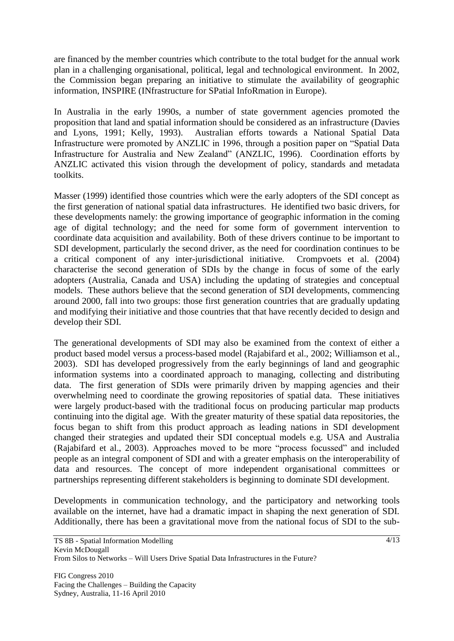are financed by the member countries which contribute to the total budget for the annual work plan in a challenging organisational, political, legal and technological environment. In 2002, the Commission began preparing an initiative to stimulate the availability of geographic information, INSPIRE (INfrastructure for SPatial InfoRmation in Europe).

In Australia in the early 1990s, a number of state government agencies promoted the proposition that land and spatial information should be considered as an infrastructure (Davies and Lyons, 1991; Kelly, 1993). Australian efforts towards a National Spatial Data Infrastructure were promoted by ANZLIC in 1996, through a position paper on "Spatial Data Infrastructure for Australia and New Zealand" (ANZLIC, 1996). Coordination efforts by ANZLIC activated this vision through the development of policy, standards and metadata toolkits.

Masser (1999) identified those countries which were the early adopters of the SDI concept as the first generation of national spatial data infrastructures. He identified two basic drivers, for these developments namely: the growing importance of geographic information in the coming age of digital technology; and the need for some form of government intervention to coordinate data acquisition and availability. Both of these drivers continue to be important to SDI development, particularly the second driver, as the need for coordination continues to be a critical component of any inter-jurisdictional initiative. Crompvoets et al. (2004) characterise the second generation of SDIs by the change in focus of some of the early adopters (Australia, Canada and USA) including the updating of strategies and conceptual models. These authors believe that the second generation of SDI developments, commencing around 2000, fall into two groups: those first generation countries that are gradually updating and modifying their initiative and those countries that that have recently decided to design and develop their SDI.

The generational developments of SDI may also be examined from the context of either a product based model versus a process-based model (Rajabifard et al., 2002; Williamson et al., 2003). SDI has developed progressively from the early beginnings of land and geographic information systems into a coordinated approach to managing, collecting and distributing data. The first generation of SDIs were primarily driven by mapping agencies and their overwhelming need to coordinate the growing repositories of spatial data. These initiatives were largely product-based with the traditional focus on producing particular map products continuing into the digital age. With the greater maturity of these spatial data repositories, the focus began to shift from this product approach as leading nations in SDI development changed their strategies and updated their SDI conceptual models e.g. USA and Australia (Rajabifard et al., 2003). Approaches moved to be more "process focussed" and included people as an integral component of SDI and with a greater emphasis on the interoperability of data and resources. The concept of more independent organisational committees or partnerships representing different stakeholders is beginning to dominate SDI development.

Developments in communication technology, and the participatory and networking tools available on the internet, have had a dramatic impact in shaping the next generation of SDI. Additionally, there has been a gravitational move from the national focus of SDI to the sub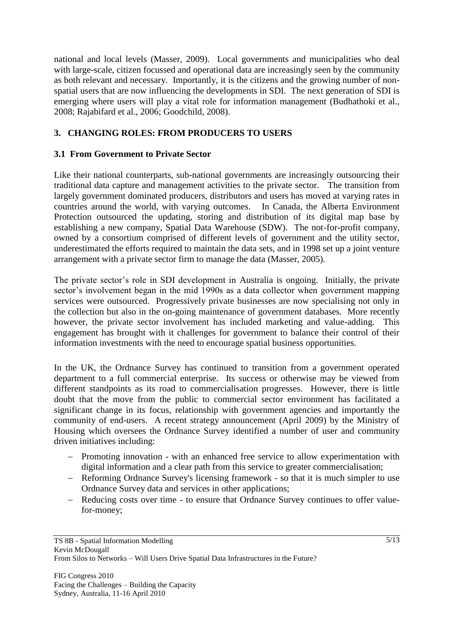national and local levels (Masser, 2009). Local governments and municipalities who deal with large-scale, citizen focussed and operational data are increasingly seen by the community as both relevant and necessary. Importantly, it is the citizens and the growing number of nonspatial users that are now influencing the developments in SDI. The next generation of SDI is emerging where users will play a vital role for information management (Budhathoki et al., 2008; Rajabifard et al., 2006; Goodchild, 2008).

## **3. CHANGING ROLES: FROM PRODUCERS TO USERS**

### **3.1 From Government to Private Sector**

Like their national counterparts, sub-national governments are increasingly outsourcing their traditional data capture and management activities to the private sector. The transition from largely government dominated producers, distributors and users has moved at varying rates in countries around the world, with varying outcomes. In Canada, the Alberta Environment Protection outsourced the updating, storing and distribution of its digital map base by establishing a new company, Spatial Data Warehouse (SDW). The not-for-profit company, owned by a consortium comprised of different levels of government and the utility sector, underestimated the efforts required to maintain the data sets, and in 1998 set up a joint venture arrangement with a private sector firm to manage the data (Masser, 2005).

The private sector's role in SDI development in Australia is ongoing. Initially, the private sector's involvement began in the mid 1990s as a data collector when government mapping services were outsourced. Progressively private businesses are now specialising not only in the collection but also in the on-going maintenance of government databases. More recently however, the private sector involvement has included marketing and value-adding. This engagement has brought with it challenges for government to balance their control of their information investments with the need to encourage spatial business opportunities.

In the UK, the Ordnance Survey has continued to transition from a government operated department to a full commercial enterprise. Its success or otherwise may be viewed from different standpoints as its road to commercialisation progresses. However, there is little doubt that the move from the public to commercial sector environment has facilitated a significant change in its focus, relationship with government agencies and importantly the community of end-users. A recent strategy announcement (April 2009) by the Ministry of Housing which oversees the Ordnance Survey identified a number of user and community driven initiatives including:

- Promoting innovation with an enhanced free service to allow experimentation with digital information and a clear path from this service to greater commercialisation;
- Reforming Ordnance Survey's licensing framework so that it is much simpler to use Ordnance Survey data and services in other applications;
- Reducing costs over time to ensure that Ordnance Survey continues to offer valuefor-money;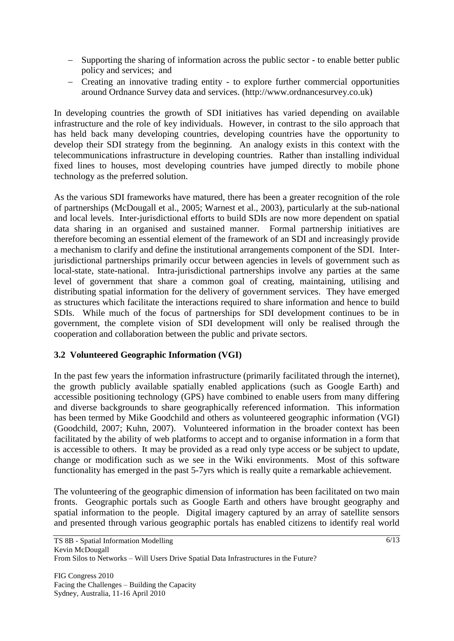- Supporting the sharing of information across the public sector to enable better public policy and services; and
- Creating an innovative trading entity to explore further commercial opportunities around Ordnance Survey data and services. (http://www.ordnancesurvey.co.uk)

In developing countries the growth of SDI initiatives has varied depending on available infrastructure and the role of key individuals. However, in contrast to the silo approach that has held back many developing countries, developing countries have the opportunity to develop their SDI strategy from the beginning. An analogy exists in this context with the telecommunications infrastructure in developing countries. Rather than installing individual fixed lines to houses, most developing countries have jumped directly to mobile phone technology as the preferred solution.

As the various SDI frameworks have matured, there has been a greater recognition of the role of partnerships (McDougall et al., 2005; Warnest et al., 2003), particularly at the sub-national and local levels. Inter-jurisdictional efforts to build SDIs are now more dependent on spatial data sharing in an organised and sustained manner. Formal partnership initiatives are therefore becoming an essential element of the framework of an SDI and increasingly provide a mechanism to clarify and define the institutional arrangements component of the SDI. Interjurisdictional partnerships primarily occur between agencies in levels of government such as local-state, state-national. Intra-jurisdictional partnerships involve any parties at the same level of government that share a common goal of creating, maintaining, utilising and distributing spatial information for the delivery of government services. They have emerged as structures which facilitate the interactions required to share information and hence to build SDIs. While much of the focus of partnerships for SDI development continues to be in government, the complete vision of SDI development will only be realised through the cooperation and collaboration between the public and private sectors.

## **3.2 Volunteered Geographic Information (VGI)**

In the past few years the information infrastructure (primarily facilitated through the internet), the growth publicly available spatially enabled applications (such as Google Earth) and accessible positioning technology (GPS) have combined to enable users from many differing and diverse backgrounds to share geographically referenced information. This information has been termed by Mike Goodchild and others as volunteered geographic information (VGI) (Goodchild, 2007; Kuhn, 2007). Volunteered information in the broader context has been facilitated by the ability of web platforms to accept and to organise information in a form that is accessible to others. It may be provided as a read only type access or be subject to update, change or modification such as we see in the Wiki environments. Most of this software functionality has emerged in the past 5-7yrs which is really quite a remarkable achievement.

The volunteering of the geographic dimension of information has been facilitated on two main fronts. Geographic portals such as Google Earth and others have brought geography and spatial information to the people. Digital imagery captured by an array of satellite sensors and presented through various geographic portals has enabled citizens to identify real world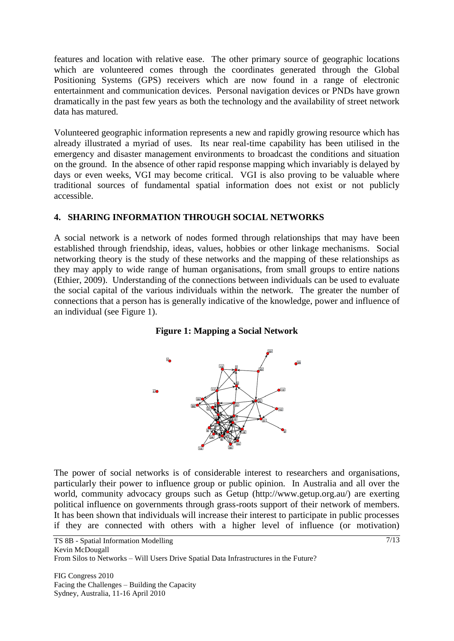features and location with relative ease. The other primary source of geographic locations which are volunteered comes through the coordinates generated through the Global Positioning Systems (GPS) receivers which are now found in a range of electronic entertainment and communication devices. Personal navigation devices or PNDs have grown dramatically in the past few years as both the technology and the availability of street network data has matured.

Volunteered geographic information represents a new and rapidly growing resource which has already illustrated a myriad of uses. Its near real-time capability has been utilised in the emergency and disaster management environments to broadcast the conditions and situation on the ground. In the absence of other rapid response mapping which invariably is delayed by days or even weeks, VGI may become critical. VGI is also proving to be valuable where traditional sources of fundamental spatial information does not exist or not publicly accessible.

#### **4. SHARING INFORMATION THROUGH SOCIAL NETWORKS**

A social network is a network of nodes formed through relationships that may have been established through friendship, ideas, values, hobbies or other linkage mechanisms. Social networking theory is the study of these networks and the mapping of these relationships as they may apply to wide range of human organisations, from small groups to entire nations (Ethier, 2009). Understanding of the connections between individuals can be used to evaluate the social capital of the various individuals within the network. The greater the number of connections that a person has is generally indicative of the knowledge, power and influence of an individual (see Figure 1).





The power of social networks is of considerable interest to researchers and organisations, particularly their power to influence group or public opinion. In Australia and all over the world, community advocacy groups such as Getup (http://www.getup.org.au/) are exerting political influence on governments through grass-roots support of their network of members. It has been shown that individuals will increase their interest to participate in public processes if they are connected with others with a higher level of influence (or motivation)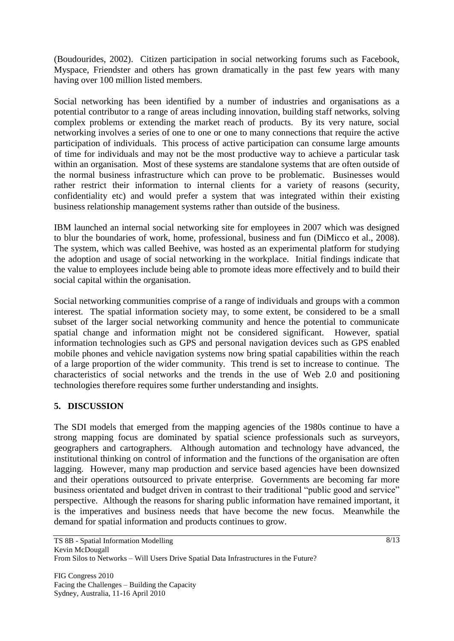(Boudourides, 2002). Citizen participation in social networking forums such as Facebook, Myspace, Friendster and others has grown dramatically in the past few years with many having over 100 million listed members.

Social networking has been identified by a number of industries and organisations as a potential contributor to a range of areas including innovation, building staff networks, solving complex problems or extending the market reach of products. By its very nature, social networking involves a series of one to one or one to many connections that require the active participation of individuals. This process of active participation can consume large amounts of time for individuals and may not be the most productive way to achieve a particular task within an organisation. Most of these systems are standalone systems that are often outside of the normal business infrastructure which can prove to be problematic. Businesses would rather restrict their information to internal clients for a variety of reasons (security, confidentiality etc) and would prefer a system that was integrated within their existing business relationship management systems rather than outside of the business.

IBM launched an internal social networking site for employees in 2007 which was designed to blur the boundaries of work, home, professional, business and fun (DiMicco et al., 2008). The system, which was called Beehive, was hosted as an experimental platform for studying the adoption and usage of social networking in the workplace. Initial findings indicate that the value to employees include being able to promote ideas more effectively and to build their social capital within the organisation.

Social networking communities comprise of a range of individuals and groups with a common interest. The spatial information society may, to some extent, be considered to be a small subset of the larger social networking community and hence the potential to communicate spatial change and information might not be considered significant. However, spatial information technologies such as GPS and personal navigation devices such as GPS enabled mobile phones and vehicle navigation systems now bring spatial capabilities within the reach of a large proportion of the wider community. This trend is set to increase to continue. The characteristics of social networks and the trends in the use of Web 2.0 and positioning technologies therefore requires some further understanding and insights.

### **5. DISCUSSION**

The SDI models that emerged from the mapping agencies of the 1980s continue to have a strong mapping focus are dominated by spatial science professionals such as surveyors, geographers and cartographers. Although automation and technology have advanced, the institutional thinking on control of information and the functions of the organisation are often lagging. However, many map production and service based agencies have been downsized and their operations outsourced to private enterprise. Governments are becoming far more business orientated and budget driven in contrast to their traditional "public good and service" perspective. Although the reasons for sharing public information have remained important, it is the imperatives and business needs that have become the new focus. Meanwhile the demand for spatial information and products continues to grow.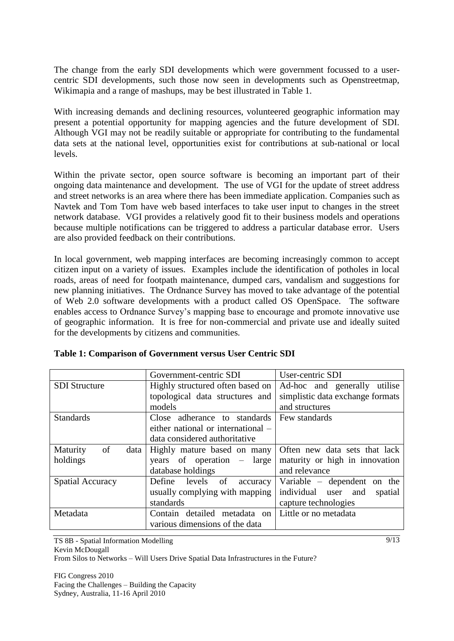The change from the early SDI developments which were government focussed to a usercentric SDI developments, such those now seen in developments such as Openstreetmap, Wikimapia and a range of mashups, may be best illustrated in Table 1.

With increasing demands and declining resources, volunteered geographic information may present a potential opportunity for mapping agencies and the future development of SDI. Although VGI may not be readily suitable or appropriate for contributing to the fundamental data sets at the national level, opportunities exist for contributions at sub-national or local levels.

Within the private sector, open source software is becoming an important part of their ongoing data maintenance and development. The use of VGI for the update of street address and street networks is an area where there has been immediate application. Companies such as Navtek and Tom Tom have web based interfaces to take user input to changes in the street network database. VGI provides a relatively good fit to their business models and operations because multiple notifications can be triggered to address a particular database error. Users are also provided feedback on their contributions.

In local government, web mapping interfaces are becoming increasingly common to accept citizen input on a variety of issues. Examples include the identification of potholes in local roads, areas of need for footpath maintenance, dumped cars, vandalism and suggestions for new planning initiatives. The Ordnance Survey has moved to take advantage of the potential of Web 2.0 software developments with a product called OS OpenSpace. The software enables access to Ordnance Survey"s mapping base to encourage and promote innovative use of geographic information. It is free for non-commercial and private use and ideally suited for the developments by citizens and communities.

|                         | Government-centric SDI             | User-centric SDI                  |  |  |
|-------------------------|------------------------------------|-----------------------------------|--|--|
| <b>SDI</b> Structure    | Highly structured often based on   | Ad-hoc and generally utilise      |  |  |
|                         | topological data structures and    | simplistic data exchange formats  |  |  |
|                         | models                             | and structures                    |  |  |
| <b>Standards</b>        | Close adherance to standards       | Few standards                     |  |  |
|                         | either national or international – |                                   |  |  |
|                         | data considered authoritative      |                                   |  |  |
| of<br>Maturity<br>data  | Highly mature based on many        | Often new data sets that lack     |  |  |
| holdings                | years of operation – large         | maturity or high in innovation    |  |  |
|                         | database holdings                  | and relevance                     |  |  |
| <b>Spatial Accuracy</b> | Define levels of<br>accuracy       | Variable $-$ dependent on the     |  |  |
|                         | usually complying with mapping     | individual user<br>and<br>spatial |  |  |
|                         | standards                          | capture technologies              |  |  |
| Metadata                | Contain detailed metadata on       | Little or no metadata             |  |  |
|                         | various dimensions of the data     |                                   |  |  |

|  |  |  | Table 1: Comparison of Government versus User Centric SDI |
|--|--|--|-----------------------------------------------------------|
|  |  |  |                                                           |

TS 8B - Spatial Information Modelling Kevin McDougall From Silos to Networks – Will Users Drive Spatial Data Infrastructures in the Future?

FIG Congress 2010 Facing the Challenges – Building the Capacity Sydney, Australia, 11-16 April 2010

 $9/13$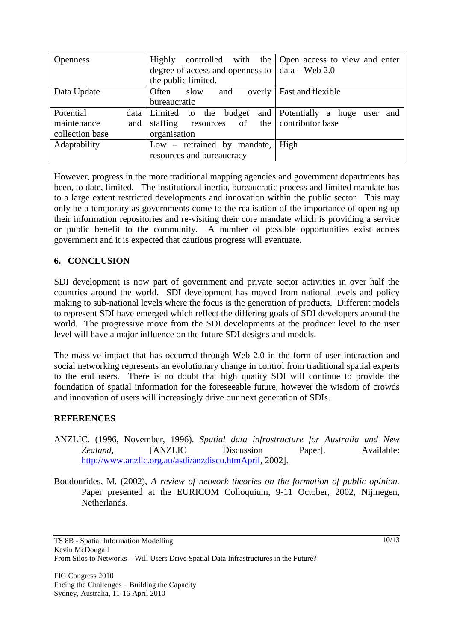| <b>Openness</b>    | Highly                                                  | controlled with the Open access to view and enter |  |  |
|--------------------|---------------------------------------------------------|---------------------------------------------------|--|--|
|                    | degree of access and openness to $\vert$ data – Web 2.0 |                                                   |  |  |
|                    | the public limited.                                     |                                                   |  |  |
| Data Update        | Often<br>slow<br>and<br>overly                          | Fast and flexible                                 |  |  |
|                    | bureaucratic                                            |                                                   |  |  |
| Potential          | data Limited to the budget                              | and Potentially a huge user and                   |  |  |
| maintenance<br>and | resources of<br>staffing                                | the contributor base                              |  |  |
| collection base    | organisation                                            |                                                   |  |  |
| Adaptability       | $Low$ – retrained by mandate,                           | High                                              |  |  |
|                    | resources and bureaucracy                               |                                                   |  |  |

However, progress in the more traditional mapping agencies and government departments has been, to date, limited. The institutional inertia, bureaucratic process and limited mandate has to a large extent restricted developments and innovation within the public sector. This may only be a temporary as governments come to the realisation of the importance of opening up their information repositories and re-visiting their core mandate which is providing a service or public benefit to the community. A number of possible opportunities exist across government and it is expected that cautious progress will eventuate.

### **6. CONCLUSION**

SDI development is now part of government and private sector activities in over half the countries around the world. SDI development has moved from national levels and policy making to sub-national levels where the focus is the generation of products. Different models to represent SDI have emerged which reflect the differing goals of SDI developers around the world. The progressive move from the SDI developments at the producer level to the user level will have a major influence on the future SDI designs and models.

The massive impact that has occurred through Web 2.0 in the form of user interaction and social networking represents an evolutionary change in control from traditional spatial experts to the end users. There is no doubt that high quality SDI will continue to provide the foundation of spatial information for the foreseeable future, however the wisdom of crowds and innovation of users will increasingly drive our next generation of SDIs.

### **REFERENCES**

- ANZLIC. (1996, November, 1996). *Spatial data infrastructure for Australia and New Zealand*, [ANZLIC Discussion Paper]. Available: [http://www.anzlic.org.au/asdi/anzdiscu.htmApril,](http://www.anzlic.org.au/asdi/anzdiscu.htmApril) 2002].
- Boudourides, M. (2002), *A review of network theories on the formation of public opinion.* Paper presented at the EURICOM Colloquium, 9-11 October, 2002, Nijmegen, Netherlands.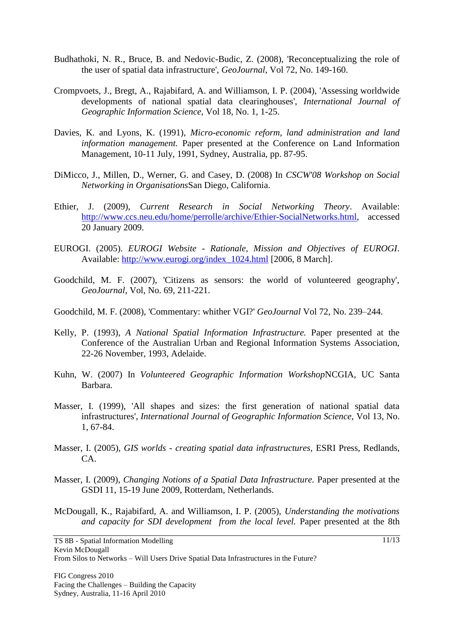- Budhathoki, N. R., Bruce, B. and Nedovic-Budic, Z. (2008), 'Reconceptualizing the role of the user of spatial data infrastructure', *GeoJournal,* Vol 72, No. 149-160.
- Crompvoets, J., Bregt, A., Rajabifard, A. and Williamson, I. P. (2004), 'Assessing worldwide developments of national spatial data clearinghouses', *International Journal of Geographic Information Science,* Vol 18, No. 1, 1-25.
- Davies, K. and Lyons, K. (1991), *Micro-economic reform, land administration and land information management.* Paper presented at the Conference on Land Information Management, 10-11 July, 1991, Sydney, Australia, pp. 87-95.
- DiMicco, J., Millen, D., Werner, G. and Casey, D. (2008) In *CSCW'08 Workshop on Social Networking in Organisations*San Diego, California.
- Ethier, J. (2009), *Current Research in Social Networking Theory*. Available: [http://www.ccs.neu.edu/home/perrolle/archive/Ethier-SocialNetworks.html,](http://www.ccs.neu.edu/home/perrolle/archive/Ethier-SocialNetworks.html) accessed 20 January 2009.
- EUROGI. (2005). *EUROGI Website - Rationale, Mission and Objectives of EUROGI*. Available: [http://www.eurogi.org/index\\_1024.html](http://www.eurogi.org/index_1024.html) [2006, 8 March].
- Goodchild, M. F. (2007), 'Citizens as sensors: the world of volunteered geography', *GeoJournal,* Vol, No. 69, 211-221.
- Goodchild, M. F. (2008), 'Commentary: whither VGI?' *GeoJournal* Vol 72, No. 239–244.
- Kelly, P. (1993), *A National Spatial Information Infrastructure.* Paper presented at the Conference of the Australian Urban and Regional Information Systems Association, 22-26 November, 1993, Adelaide.
- Kuhn, W. (2007) In *Volunteered Geographic Information Workshop*NCGIA, UC Santa Barbara.
- Masser, I. (1999), 'All shapes and sizes: the first generation of national spatial data infrastructures', *International Journal of Geographic Information Science,* Vol 13, No. 1, 67-84.
- Masser, I. (2005), *GIS worlds - creating spatial data infrastructures,* ESRI Press, Redlands, CA.
- Masser, I. (2009), *Changing Notions of a Spatial Data Infrastructure.* Paper presented at the GSDI 11, 15-19 June 2009, Rotterdam, Netherlands.
- McDougall, K., Rajabifard, A. and Williamson, I. P. (2005), *Understanding the motivations and capacity for SDI development from the local level.* Paper presented at the 8th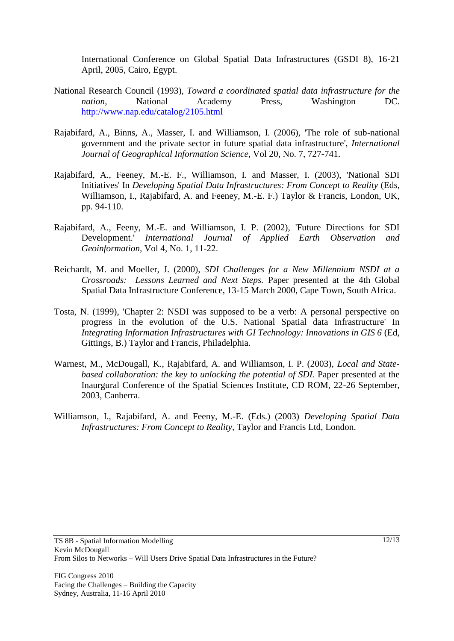International Conference on Global Spatial Data Infrastructures (GSDI 8), 16-21 April, 2005, Cairo, Egypt.

- National Research Council (1993), *Toward a coordinated spatial data infrastructure for the nation,* National Academy Press, Washington DC. <http://www.nap.edu/catalog/2105.html>
- Rajabifard, A., Binns, A., Masser, I. and Williamson, I. (2006), 'The role of sub-national government and the private sector in future spatial data infrastructure', *International Journal of Geographical Information Science,* Vol 20, No. 7, 727-741.
- Rajabifard, A., Feeney, M.-E. F., Williamson, I. and Masser, I. (2003), 'National SDI Initiatives' In *Developing Spatial Data Infrastructures: From Concept to Reality* (Eds, Williamson, I., Rajabifard, A. and Feeney, M.-E. F.) Taylor & Francis, London, UK, pp. 94-110.
- Rajabifard, A., Feeny, M.-E. and Williamson, I. P. (2002), 'Future Directions for SDI Development.' *International Journal of Applied Earth Observation and Geoinformation,* Vol 4, No. 1, 11-22.
- Reichardt, M. and Moeller, J. (2000), *SDI Challenges for a New Millennium NSDI at a Crossroads: Lessons Learned and Next Steps.* Paper presented at the 4th Global Spatial Data Infrastructure Conference, 13-15 March 2000, Cape Town, South Africa.
- Tosta, N. (1999), 'Chapter 2: NSDI was supposed to be a verb: A personal perspective on progress in the evolution of the U.S. National Spatial data Infrastructure' In *Integrating Information Infrastructures with GI Technology: Innovations in GIS 6* (Ed, Gittings, B.) Taylor and Francis, Philadelphia.
- Warnest, M., McDougall, K., Rajabifard, A. and Williamson, I. P. (2003), *Local and Statebased collaboration: the key to unlocking the potential of SDI.* Paper presented at the Inaurgural Conference of the Spatial Sciences Institute, CD ROM, 22-26 September, 2003, Canberra.
- Williamson, I., Rajabifard, A. and Feeny, M.-E. (Eds.) (2003) *Developing Spatial Data Infrastructures: From Concept to Reality,* Taylor and Francis Ltd, London.